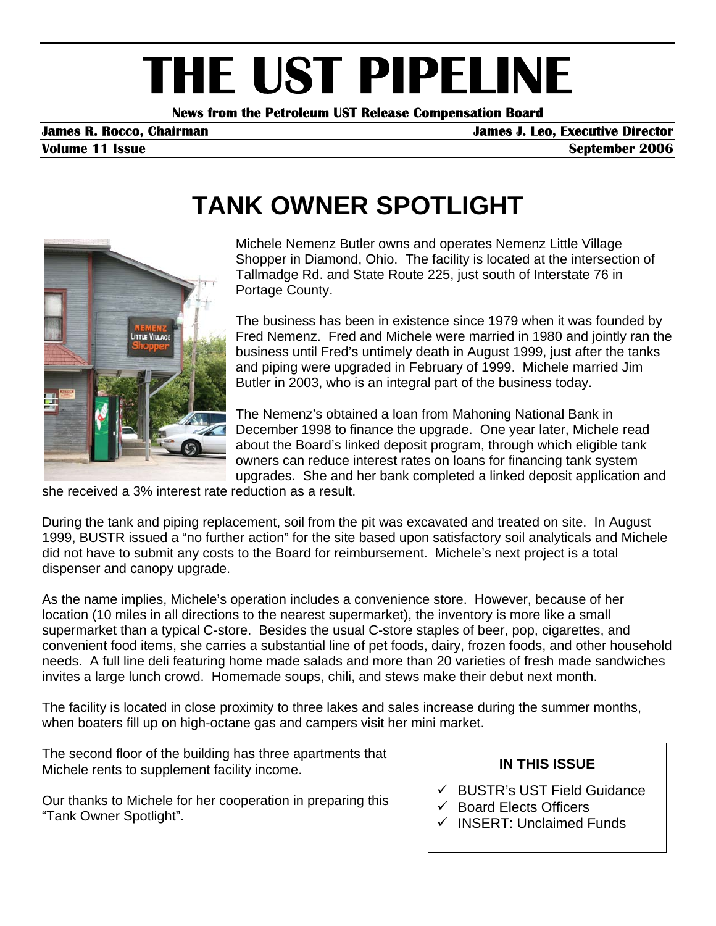# **THE UST PIPELINE**<br>News from the Petroleum UST Release Compensation Board

**Volume 11 Issue September 2006** 

# **TANK OWNER SPOTLIGHT**



Michele Nemenz Butler owns and operates Nemenz Little Village Shopper in Diamond, Ohio. The facility is located at the intersection of Tallmadge Rd. and State Route 225, just south of Interstate 76 in Portage County.

The business has been in existence since 1979 when it was founded by Fred Nemenz. Fred and Michele were married in 1980 and jointly ran the business until Fred's untimely death in August 1999, just after the tanks and piping were upgraded in February of 1999. Michele married Jim Butler in 2003, who is an integral part of the business today.

The Nemenz's obtained a loan from Mahoning National Bank in December 1998 to finance the upgrade. One year later, Michele read about the Board's linked deposit program, through which eligible tank owners can reduce interest rates on loans for financing tank system upgrades. She and her bank completed a linked deposit application and

she received a 3% interest rate reduction as a result.

During the tank and piping replacement, soil from the pit was excavated and treated on site. In August 1999, BUSTR issued a "no further action" for the site based upon satisfactory soil analyticals and Michele did not have to submit any costs to the Board for reimbursement. Michele's next project is a total dispenser and canopy upgrade.

As the name implies, Michele's operation includes a convenience store. However, because of her location (10 miles in all directions to the nearest supermarket), the inventory is more like a small supermarket than a typical C-store. Besides the usual C-store staples of beer, pop, cigarettes, and convenient food items, she carries a substantial line of pet foods, dairy, frozen foods, and other household needs. A full line deli featuring home made salads and more than 20 varieties of fresh made sandwiches invites a large lunch crowd. Homemade soups, chili, and stews make their debut next month.

The facility is located in close proximity to three lakes and sales increase during the summer months, when boaters fill up on high-octane gas and campers visit her mini market.

The second floor of the building has three apartments that Michele rents to supplement facility income.

Our thanks to Michele for her cooperation in preparing this "Tank Owner Spotlight".

#### **IN THIS ISSUE**

- $\checkmark$  BUSTR's UST Field Guidance
- $\checkmark$  Board Elects Officers
- $\checkmark$  INSERT: Unclaimed Funds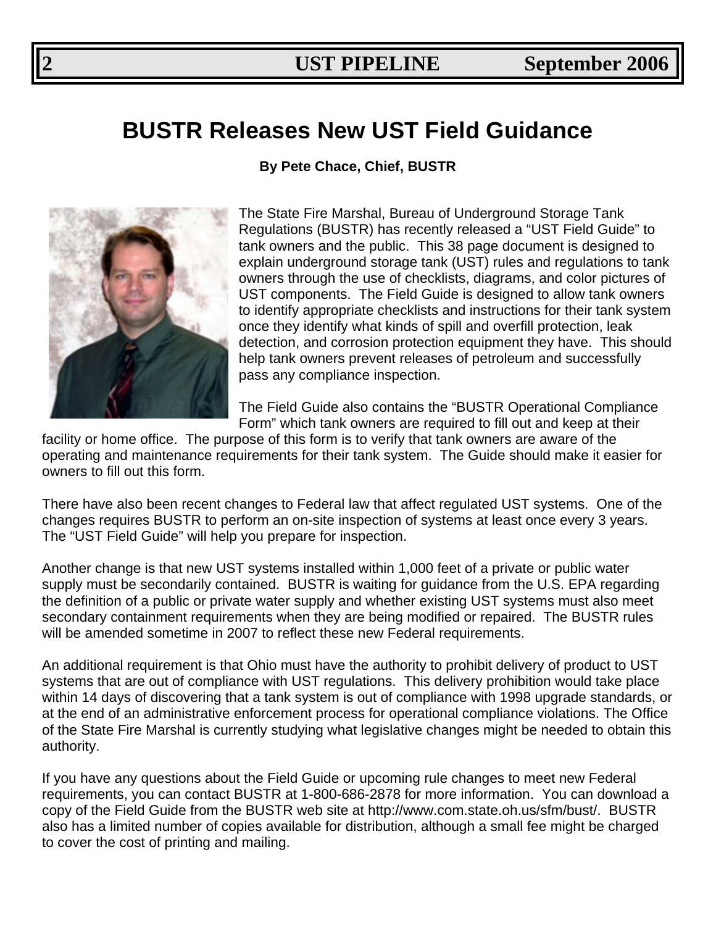# **BUSTR Releases New UST Field Guidance**

**By Pete Chace, Chief, BUSTR** 



The State Fire Marshal, Bureau of Underground Storage Tank Regulations (BUSTR) has recently released a "UST Field Guide" to tank owners and the public. This 38 page document is designed to explain underground storage tank (UST) rules and regulations to tank owners through the use of checklists, diagrams, and color pictures of UST components. The Field Guide is designed to allow tank owners to identify appropriate checklists and instructions for their tank system once they identify what kinds of spill and overfill protection, leak detection, and corrosion protection equipment they have. This should help tank owners prevent releases of petroleum and successfully pass any compliance inspection.

The Field Guide also contains the "BUSTR Operational Compliance Form" which tank owners are required to fill out and keep at their

facility or home office. The purpose of this form is to verify that tank owners are aware of the operating and maintenance requirements for their tank system. The Guide should make it easier for owners to fill out this form.

There have also been recent changes to Federal law that affect regulated UST systems. One of the changes requires BUSTR to perform an on-site inspection of systems at least once every 3 years. The "UST Field Guide" will help you prepare for inspection.

Another change is that new UST systems installed within 1,000 feet of a private or public water supply must be secondarily contained. BUSTR is waiting for guidance from the U.S. EPA regarding the definition of a public or private water supply and whether existing UST systems must also meet secondary containment requirements when they are being modified or repaired. The BUSTR rules will be amended sometime in 2007 to reflect these new Federal requirements.

An additional requirement is that Ohio must have the authority to prohibit delivery of product to UST systems that are out of compliance with UST regulations. This delivery prohibition would take place within 14 days of discovering that a tank system is out of compliance with 1998 upgrade standards, or at the end of an administrative enforcement process for operational compliance violations. The Office of the State Fire Marshal is currently studying what legislative changes might be needed to obtain this authority.

If you have any questions about the Field Guide or upcoming rule changes to meet new Federal requirements, you can contact BUSTR at 1-800-686-2878 for more information. You can download a copy of the Field Guide from the BUSTR web site at http://www.com.state.oh.us/sfm/bust/. BUSTR also has a limited number of copies available for distribution, although a small fee might be charged to cover the cost of printing and mailing.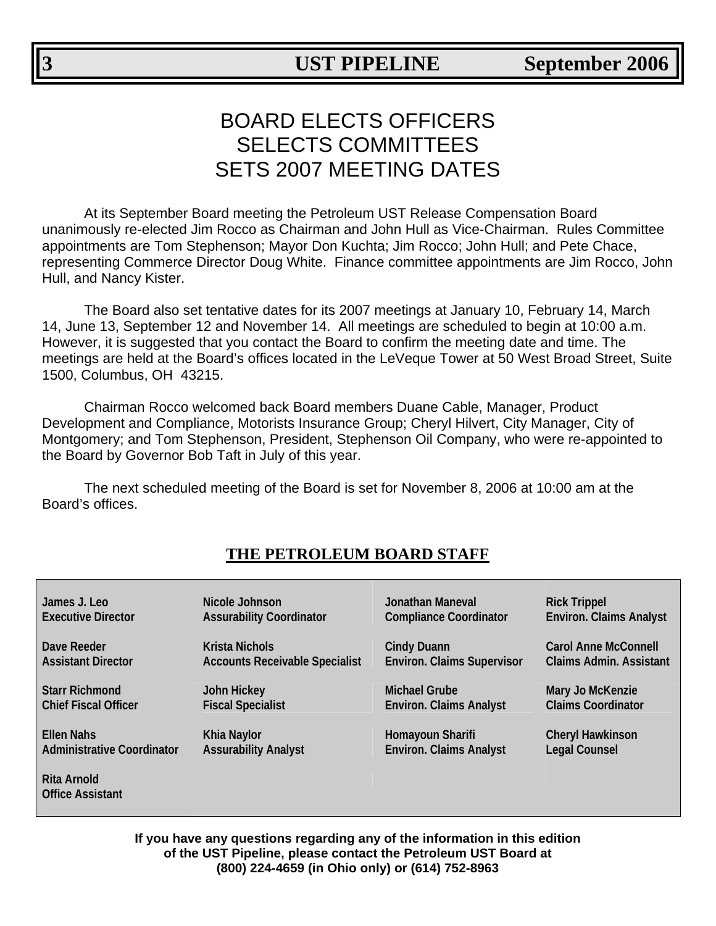# BOARD ELECTS OFFICERS SELECTS COMMITTEES SETS 2007 MEETING DATES

At its September Board meeting the Petroleum UST Release Compensation Board unanimously re-elected Jim Rocco as Chairman and John Hull as Vice-Chairman. Rules Committee appointments are Tom Stephenson; Mayor Don Kuchta; Jim Rocco; John Hull; and Pete Chace, representing Commerce Director Doug White. Finance committee appointments are Jim Rocco, John Hull, and Nancy Kister.

The Board also set tentative dates for its 2007 meetings at January 10, February 14, March 14, June 13, September 12 and November 14. All meetings are scheduled to begin at 10:00 a.m. However, it is suggested that you contact the Board to confirm the meeting date and time. The meetings are held at the Board's offices located in the LeVeque Tower at 50 West Broad Street, Suite 1500, Columbus, OH 43215.

Chairman Rocco welcomed back Board members Duane Cable, Manager, Product Development and Compliance, Motorists Insurance Group; Cheryl Hilvert, City Manager, City of Montgomery; and Tom Stephenson, President, Stephenson Oil Company, who were re-appointed to the Board by Governor Bob Taft in July of this year.

The next scheduled meeting of the Board is set for November 8, 2006 at 10:00 am at the Board's offices.

| James J. Leo                                  | Nicole Johnson                        | Jonathan Maneval                  | <b>Rick Trippel</b>            |
|-----------------------------------------------|---------------------------------------|-----------------------------------|--------------------------------|
| <b>Executive Director</b>                     | <b>Assurability Coordinator</b>       | <b>Compliance Coordinator</b>     | <b>Environ. Claims Analyst</b> |
| Dave Reeder                                   | <b>Krista Nichols</b>                 | <b>Cindy Duann</b>                | <b>Carol Anne McConnell</b>    |
| <b>Assistant Director</b>                     | <b>Accounts Receivable Specialist</b> | <b>Environ. Claims Supervisor</b> | <b>Claims Admin. Assistant</b> |
| <b>Starr Richmond</b>                         | <b>John Hickey</b>                    | <b>Michael Grube</b>              | Mary Jo McKenzie               |
| <b>Chief Fiscal Officer</b>                   | <b>Fiscal Specialist</b>              | <b>Environ. Claims Analyst</b>    | <b>Claims Coordinator</b>      |
| <b>Ellen Nahs</b>                             | <b>Khia Naylor</b>                    | Homayoun Sharifi                  | <b>Cheryl Hawkinson</b>        |
| <b>Administrative Coordinator</b>             | <b>Assurability Analyst</b>           | <b>Environ. Claims Analyst</b>    | <b>Legal Counsel</b>           |
| <b>Rita Arnold</b><br><b>Office Assistant</b> |                                       |                                   |                                |

### **THE PETROLEUM BOARD STAFF**

**If you have any questions regarding any of the information in this edition of the UST Pipeline, please contact the Petroleum UST Board at (800) 224-4659 (in Ohio only) or (614) 752-8963**